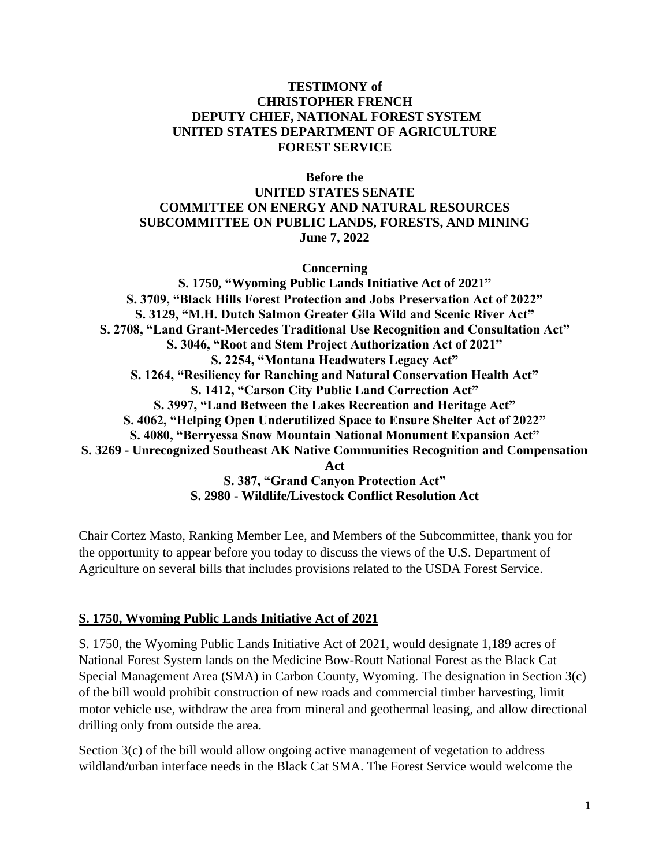#### **TESTIMONY of CHRISTOPHER FRENCH DEPUTY CHIEF, NATIONAL FOREST SYSTEM UNITED STATES DEPARTMENT OF AGRICULTURE FOREST SERVICE**

**Before the**

### **UNITED STATES SENATE COMMITTEE ON ENERGY AND NATURAL RESOURCES SUBCOMMITTEE ON PUBLIC LANDS, FORESTS, AND MINING June 7, 2022**

**Concerning** 

**S. 1750, "Wyoming Public Lands Initiative Act of 2021" S. 3709, "Black Hills Forest Protection and Jobs Preservation Act of 2022" S. 3129, "M.H. Dutch Salmon Greater Gila Wild and Scenic River Act" S. 2708, "Land Grant-Mercedes Traditional Use Recognition and Consultation Act" S. 3046, "Root and Stem Project Authorization Act of 2021" S. 2254, "Montana Headwaters Legacy Act" S. 1264, "Resiliency for Ranching and Natural Conservation Health Act" S. 1412, "Carson City Public Land Correction Act" S. 3997, "Land Between the Lakes Recreation and Heritage Act" S. 4062, "Helping Open Underutilized Space to Ensure Shelter Act of 2022" S. 4080, "Berryessa Snow Mountain National Monument Expansion Act" S. 3269 - Unrecognized Southeast AK Native Communities Recognition and Compensation Act S. 387, "Grand Canyon Protection Act" S. 2980 - Wildlife/Livestock Conflict Resolution Act**

Chair Cortez Masto, Ranking Member Lee, and Members of the Subcommittee, thank you for the opportunity to appear before you today to discuss the views of the U.S. Department of Agriculture on several bills that includes provisions related to the USDA Forest Service.

#### **S. 1750, Wyoming Public Lands Initiative Act of 2021**

S. 1750, the Wyoming Public Lands Initiative Act of 2021, would designate 1,189 acres of National Forest System lands on the Medicine Bow-Routt National Forest as the Black Cat Special Management Area (SMA) in Carbon County, Wyoming. The designation in Section 3(c) of the bill would prohibit construction of new roads and commercial timber harvesting, limit motor vehicle use, withdraw the area from mineral and geothermal leasing, and allow directional drilling only from outside the area.

Section 3(c) of the bill would allow ongoing active management of vegetation to address wildland/urban interface needs in the Black Cat SMA. The Forest Service would welcome the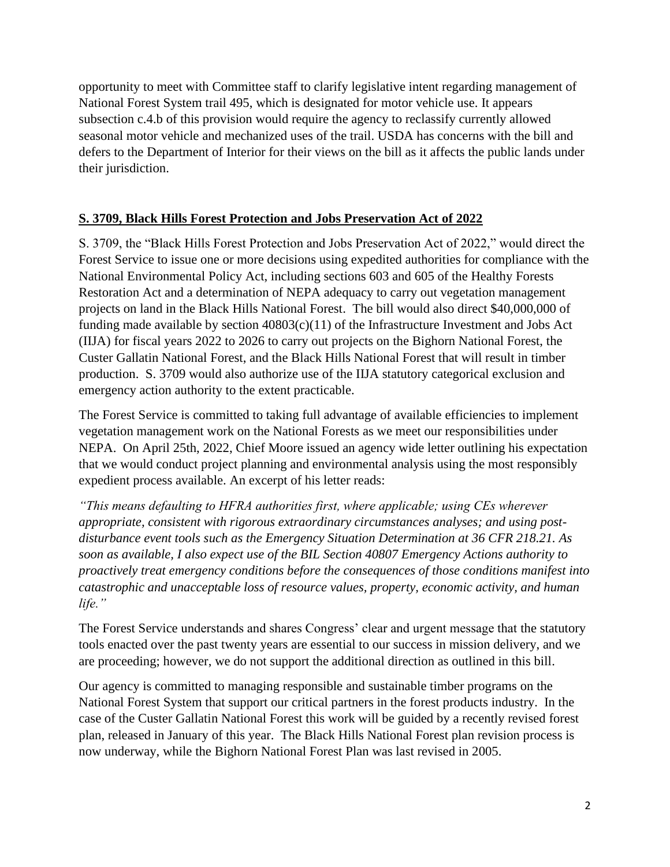opportunity to meet with Committee staff to clarify legislative intent regarding management of National Forest System trail 495, which is designated for motor vehicle use. It appears subsection c.4.b of this provision would require the agency to reclassify currently allowed seasonal motor vehicle and mechanized uses of the trail. USDA has concerns with the bill and defers to the Department of Interior for their views on the bill as it affects the public lands under their jurisdiction.

### **S. 3709, Black Hills Forest Protection and Jobs Preservation Act of 2022**

S. 3709, the "Black Hills Forest Protection and Jobs Preservation Act of 2022," would direct the Forest Service to issue one or more decisions using expedited authorities for compliance with the National Environmental Policy Act, including sections 603 and 605 of the Healthy Forests Restoration Act and a determination of NEPA adequacy to carry out vegetation management projects on land in the Black Hills National Forest. The bill would also direct \$40,000,000 of funding made available by section  $40803(c)(11)$  of the Infrastructure Investment and Jobs Act (IIJA) for fiscal years 2022 to 2026 to carry out projects on the Bighorn National Forest, the Custer Gallatin National Forest, and the Black Hills National Forest that will result in timber production. S. 3709 would also authorize use of the IIJA statutory categorical exclusion and emergency action authority to the extent practicable.

The Forest Service is committed to taking full advantage of available efficiencies to implement vegetation management work on the National Forests as we meet our responsibilities under NEPA. On April 25th, 2022, Chief Moore issued an agency wide letter outlining his expectation that we would conduct project planning and environmental analysis using the most responsibly expedient process available. An excerpt of his letter reads:

*"This means defaulting to HFRA authorities first, where applicable; using CEs wherever appropriate, consistent with rigorous extraordinary circumstances analyses; and using postdisturbance event tools such as the Emergency Situation Determination at 36 CFR 218.21. As soon as available, I also expect use of the BIL Section 40807 Emergency Actions authority to proactively treat emergency conditions before the consequences of those conditions manifest into catastrophic and unacceptable loss of resource values, property, economic activity, and human life."*

The Forest Service understands and shares Congress' clear and urgent message that the statutory tools enacted over the past twenty years are essential to our success in mission delivery, and we are proceeding; however, we do not support the additional direction as outlined in this bill.

Our agency is committed to managing responsible and sustainable timber programs on the National Forest System that support our critical partners in the forest products industry. In the case of the Custer Gallatin National Forest this work will be guided by a recently revised forest plan, released in January of this year. The Black Hills National Forest plan revision process is now underway, while the Bighorn National Forest Plan was last revised in 2005.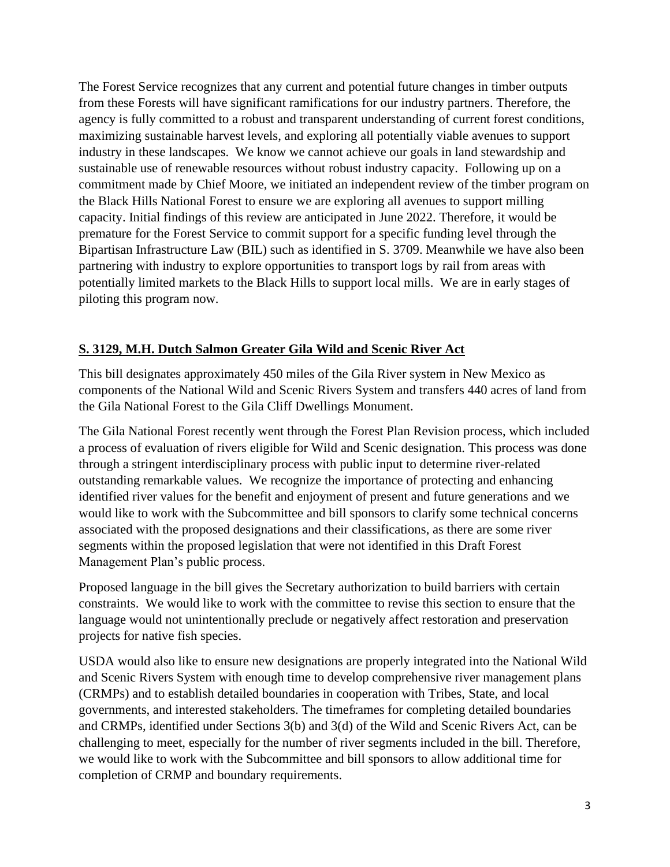The Forest Service recognizes that any current and potential future changes in timber outputs from these Forests will have significant ramifications for our industry partners. Therefore, the agency is fully committed to a robust and transparent understanding of current forest conditions, maximizing sustainable harvest levels, and exploring all potentially viable avenues to support industry in these landscapes. We know we cannot achieve our goals in land stewardship and sustainable use of renewable resources without robust industry capacity. Following up on a commitment made by Chief Moore, we initiated an independent review of the timber program on the Black Hills National Forest to ensure we are exploring all avenues to support milling capacity. Initial findings of this review are anticipated in June 2022. Therefore, it would be premature for the Forest Service to commit support for a specific funding level through the Bipartisan Infrastructure Law (BIL) such as identified in S. 3709. Meanwhile we have also been partnering with industry to explore opportunities to transport logs by rail from areas with potentially limited markets to the Black Hills to support local mills. We are in early stages of piloting this program now.

# **S. 3129, M.H. Dutch Salmon Greater Gila Wild and Scenic River Act**

This bill designates approximately 450 miles of the Gila River system in New Mexico as components of the National Wild and Scenic Rivers System and transfers 440 acres of land from the Gila National Forest to the Gila Cliff Dwellings Monument.

The Gila National Forest recently went through the Forest Plan Revision process, which included a process of evaluation of rivers eligible for Wild and Scenic designation. This process was done through a stringent interdisciplinary process with public input to determine river-related outstanding remarkable values. We recognize the importance of protecting and enhancing identified river values for the benefit and enjoyment of present and future generations and we would like to work with the Subcommittee and bill sponsors to clarify some technical concerns associated with the proposed designations and their classifications, as there are some river segments within the proposed legislation that were not identified in this Draft Forest Management Plan's public process.

Proposed language in the bill gives the Secretary authorization to build barriers with certain constraints. We would like to work with the committee to revise this section to ensure that the language would not unintentionally preclude or negatively affect restoration and preservation projects for native fish species.

USDA would also like to ensure new designations are properly integrated into the National Wild and Scenic Rivers System with enough time to develop comprehensive river management plans (CRMPs) and to establish detailed boundaries in cooperation with Tribes, State, and local governments, and interested stakeholders. The timeframes for completing detailed boundaries and CRMPs, identified under Sections 3(b) and 3(d) of the Wild and Scenic Rivers Act, can be challenging to meet, especially for the number of river segments included in the bill. Therefore, we would like to work with the Subcommittee and bill sponsors to allow additional time for completion of CRMP and boundary requirements.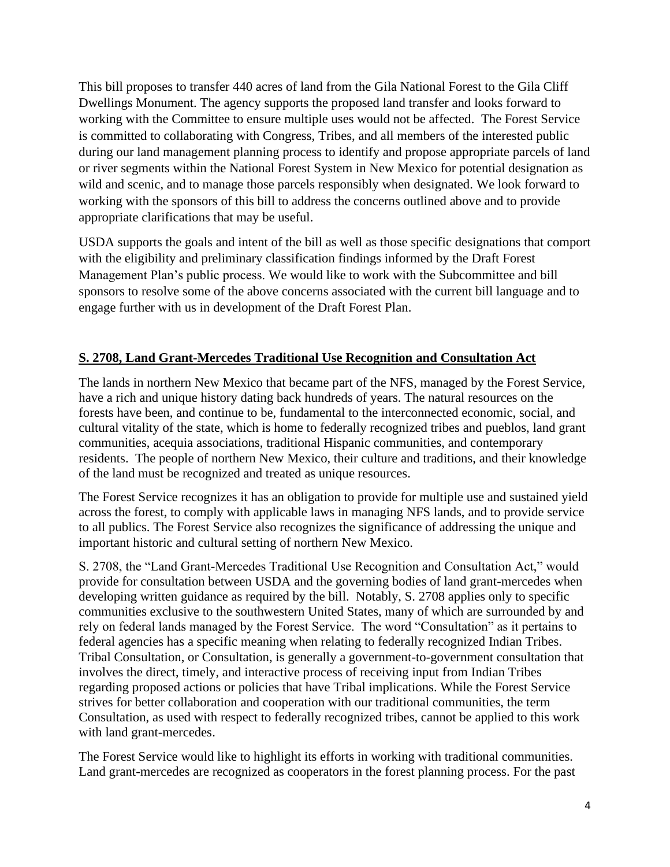This bill proposes to transfer 440 acres of land from the Gila National Forest to the Gila Cliff Dwellings Monument. The agency supports the proposed land transfer and looks forward to working with the Committee to ensure multiple uses would not be affected. The Forest Service is committed to collaborating with Congress, Tribes, and all members of the interested public during our land management planning process to identify and propose appropriate parcels of land or river segments within the National Forest System in New Mexico for potential designation as wild and scenic, and to manage those parcels responsibly when designated. We look forward to working with the sponsors of this bill to address the concerns outlined above and to provide appropriate clarifications that may be useful.

USDA supports the goals and intent of the bill as well as those specific designations that comport with the eligibility and preliminary classification findings informed by the Draft Forest Management Plan's public process. We would like to work with the Subcommittee and bill sponsors to resolve some of the above concerns associated with the current bill language and to engage further with us in development of the Draft Forest Plan.

# **S. 2708, Land Grant-Mercedes Traditional Use Recognition and Consultation Act**

The lands in northern New Mexico that became part of the NFS, managed by the Forest Service, have a rich and unique history dating back hundreds of years. The natural resources on the forests have been, and continue to be, fundamental to the interconnected economic, social, and cultural vitality of the state, which is home to federally recognized tribes and pueblos, land grant communities, acequia associations, traditional Hispanic communities, and contemporary residents. The people of northern New Mexico, their culture and traditions, and their knowledge of the land must be recognized and treated as unique resources.

The Forest Service recognizes it has an obligation to provide for multiple use and sustained yield across the forest, to comply with applicable laws in managing NFS lands, and to provide service to all publics. The Forest Service also recognizes the significance of addressing the unique and important historic and cultural setting of northern New Mexico.

S. 2708, the "Land Grant-Mercedes Traditional Use Recognition and Consultation Act," would provide for consultation between USDA and the governing bodies of land grant-mercedes when developing written guidance as required by the bill. Notably, S. 2708 applies only to specific communities exclusive to the southwestern United States, many of which are surrounded by and rely on federal lands managed by the Forest Service. The word "Consultation" as it pertains to federal agencies has a specific meaning when relating to federally recognized Indian Tribes. Tribal Consultation, or Consultation, is generally a government-to-government consultation that involves the direct, timely, and interactive process of receiving input from Indian Tribes regarding proposed actions or policies that have Tribal implications. While the Forest Service strives for better collaboration and cooperation with our traditional communities, the term Consultation, as used with respect to federally recognized tribes, cannot be applied to this work with land grant-mercedes.

The Forest Service would like to highlight its efforts in working with traditional communities. Land grant-mercedes are recognized as cooperators in the forest planning process. For the past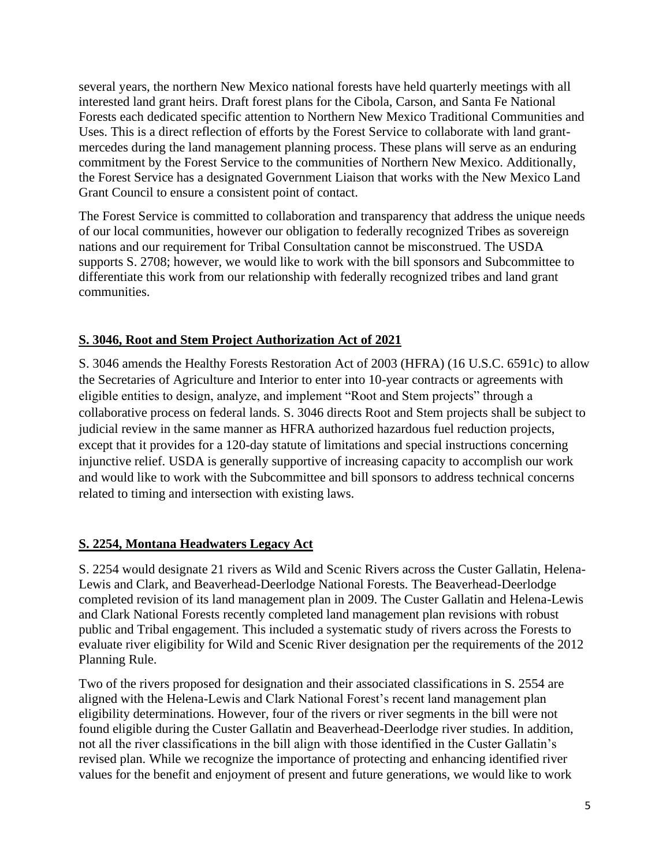several years, the northern New Mexico national forests have held quarterly meetings with all interested land grant heirs. Draft forest plans for the Cibola, Carson, and Santa Fe National Forests each dedicated specific attention to Northern New Mexico Traditional Communities and Uses. This is a direct reflection of efforts by the Forest Service to collaborate with land grantmercedes during the land management planning process. These plans will serve as an enduring commitment by the Forest Service to the communities of Northern New Mexico. Additionally, the Forest Service has a designated Government Liaison that works with the New Mexico Land Grant Council to ensure a consistent point of contact.

The Forest Service is committed to collaboration and transparency that address the unique needs of our local communities, however our obligation to federally recognized Tribes as sovereign nations and our requirement for Tribal Consultation cannot be misconstrued. The USDA supports S. 2708; however, we would like to work with the bill sponsors and Subcommittee to differentiate this work from our relationship with federally recognized tribes and land grant communities.

### **S. 3046, Root and Stem Project Authorization Act of 2021**

S. 3046 amends the Healthy Forests Restoration Act of 2003 (HFRA) (16 U.S.C. 6591c) to allow the Secretaries of Agriculture and Interior to enter into 10-year contracts or agreements with eligible entities to design, analyze, and implement "Root and Stem projects" through a collaborative process on federal lands. S. 3046 directs Root and Stem projects shall be subject to judicial review in the same manner as HFRA authorized hazardous fuel reduction projects, except that it provides for a 120-day statute of limitations and special instructions concerning injunctive relief. USDA is generally supportive of increasing capacity to accomplish our work and would like to work with the Subcommittee and bill sponsors to address technical concerns related to timing and intersection with existing laws.

#### **S. 2254, Montana Headwaters Legacy Act**

S. 2254 would designate 21 rivers as Wild and Scenic Rivers across the Custer Gallatin, Helena-Lewis and Clark, and Beaverhead-Deerlodge National Forests. The Beaverhead-Deerlodge completed revision of its land management plan in 2009. The Custer Gallatin and Helena-Lewis and Clark National Forests recently completed land management plan revisions with robust public and Tribal engagement. This included a systematic study of rivers across the Forests to evaluate river eligibility for Wild and Scenic River designation per the requirements of the 2012 Planning Rule.

Two of the rivers proposed for designation and their associated classifications in S. 2554 are aligned with the Helena-Lewis and Clark National Forest's recent land management plan eligibility determinations. However, four of the rivers or river segments in the bill were not found eligible during the Custer Gallatin and Beaverhead-Deerlodge river studies. In addition, not all the river classifications in the bill align with those identified in the Custer Gallatin's revised plan. While we recognize the importance of protecting and enhancing identified river values for the benefit and enjoyment of present and future generations, we would like to work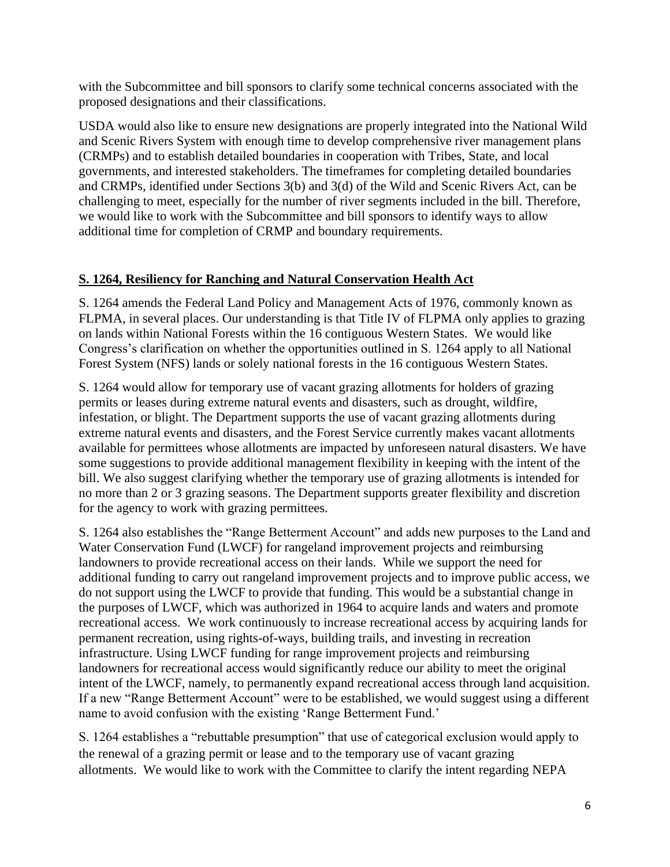with the Subcommittee and bill sponsors to clarify some technical concerns associated with the proposed designations and their classifications.

USDA would also like to ensure new designations are properly integrated into the National Wild and Scenic Rivers System with enough time to develop comprehensive river management plans (CRMPs) and to establish detailed boundaries in cooperation with Tribes, State, and local governments, and interested stakeholders. The timeframes for completing detailed boundaries and CRMPs, identified under Sections 3(b) and 3(d) of the Wild and Scenic Rivers Act, can be challenging to meet, especially for the number of river segments included in the bill. Therefore, we would like to work with the Subcommittee and bill sponsors to identify ways to allow additional time for completion of CRMP and boundary requirements.

### **S. 1264, Resiliency for Ranching and Natural Conservation Health Act**

S. 1264 amends the Federal Land Policy and Management Acts of 1976, commonly known as FLPMA, in several places. Our understanding is that Title IV of FLPMA only applies to grazing on lands within National Forests within the 16 contiguous Western States. We would like Congress's clarification on whether the opportunities outlined in S. 1264 apply to all National Forest System (NFS) lands or solely national forests in the 16 contiguous Western States.

S. 1264 would allow for temporary use of vacant grazing allotments for holders of grazing permits or leases during extreme natural events and disasters, such as drought, wildfire, infestation, or blight. The Department supports the use of vacant grazing allotments during extreme natural events and disasters, and the Forest Service currently makes vacant allotments available for permittees whose allotments are impacted by unforeseen natural disasters. We have some suggestions to provide additional management flexibility in keeping with the intent of the bill. We also suggest clarifying whether the temporary use of grazing allotments is intended for no more than 2 or 3 grazing seasons. The Department supports greater flexibility and discretion for the agency to work with grazing permittees.

S. 1264 also establishes the "Range Betterment Account" and adds new purposes to the Land and Water Conservation Fund (LWCF) for rangeland improvement projects and reimbursing landowners to provide recreational access on their lands. While we support the need for additional funding to carry out rangeland improvement projects and to improve public access, we do not support using the LWCF to provide that funding. This would be a substantial change in the purposes of LWCF, which was authorized in 1964 to acquire lands and waters and promote recreational access. We work continuously to increase recreational access by acquiring lands for permanent recreation, using rights-of-ways, building trails, and investing in recreation infrastructure. Using LWCF funding for range improvement projects and reimbursing landowners for recreational access would significantly reduce our ability to meet the original intent of the LWCF, namely, to permanently expand recreational access through land acquisition. If a new "Range Betterment Account" were to be established, we would suggest using a different name to avoid confusion with the existing 'Range Betterment Fund.'

S. 1264 establishes a "rebuttable presumption" that use of categorical exclusion would apply to the renewal of a grazing permit or lease and to the temporary use of vacant grazing allotments. We would like to work with the Committee to clarify the intent regarding NEPA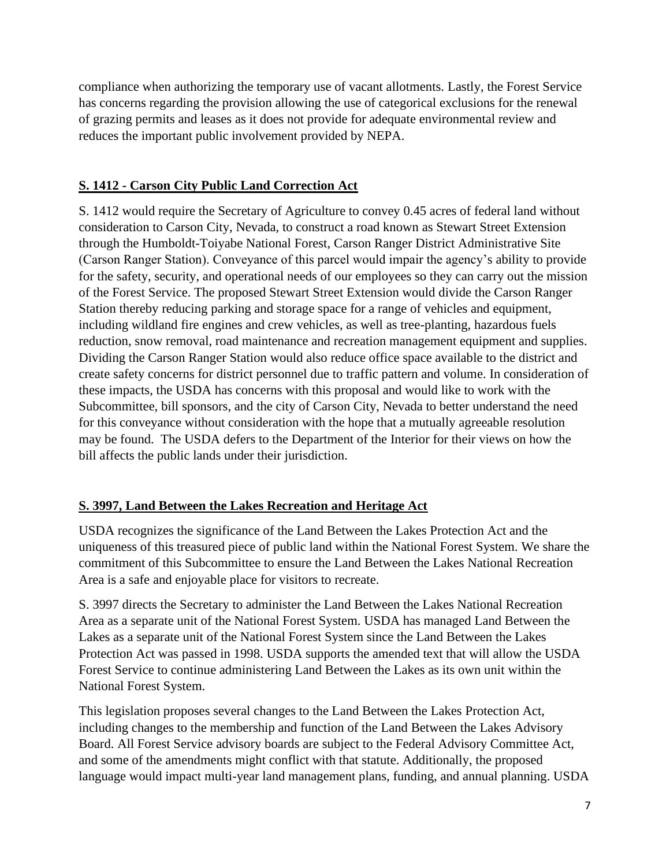compliance when authorizing the temporary use of vacant allotments. Lastly, the Forest Service has concerns regarding the provision allowing the use of categorical exclusions for the renewal of grazing permits and leases as it does not provide for adequate environmental review and reduces the important public involvement provided by NEPA.

## **S. 1412 - Carson City Public Land Correction Act**

S. 1412 would require the Secretary of Agriculture to convey 0.45 acres of federal land without consideration to Carson City, Nevada, to construct a road known as Stewart Street Extension through the Humboldt-Toiyabe National Forest, Carson Ranger District Administrative Site (Carson Ranger Station). Conveyance of this parcel would impair the agency's ability to provide for the safety, security, and operational needs of our employees so they can carry out the mission of the Forest Service. The proposed Stewart Street Extension would divide the Carson Ranger Station thereby reducing parking and storage space for a range of vehicles and equipment, including wildland fire engines and crew vehicles, as well as tree-planting, hazardous fuels reduction, snow removal, road maintenance and recreation management equipment and supplies. Dividing the Carson Ranger Station would also reduce office space available to the district and create safety concerns for district personnel due to traffic pattern and volume. In consideration of these impacts, the USDA has concerns with this proposal and would like to work with the Subcommittee, bill sponsors, and the city of Carson City, Nevada to better understand the need for this conveyance without consideration with the hope that a mutually agreeable resolution may be found. The USDA defers to the Department of the Interior for their views on how the bill affects the public lands under their jurisdiction.

#### **S. 3997, Land Between the Lakes Recreation and Heritage Act**

USDA recognizes the significance of the Land Between the Lakes Protection Act and the uniqueness of this treasured piece of public land within the National Forest System. We share the commitment of this Subcommittee to ensure the Land Between the Lakes National Recreation Area is a safe and enjoyable place for visitors to recreate.

S. 3997 directs the Secretary to administer the Land Between the Lakes National Recreation Area as a separate unit of the National Forest System. USDA has managed Land Between the Lakes as a separate unit of the National Forest System since the Land Between the Lakes Protection Act was passed in 1998. USDA supports the amended text that will allow the USDA Forest Service to continue administering Land Between the Lakes as its own unit within the National Forest System.

This legislation proposes several changes to the Land Between the Lakes Protection Act, including changes to the membership and function of the Land Between the Lakes Advisory Board. All Forest Service advisory boards are subject to the Federal Advisory Committee Act, and some of the amendments might conflict with that statute. Additionally, the proposed language would impact multi-year land management plans, funding, and annual planning. USDA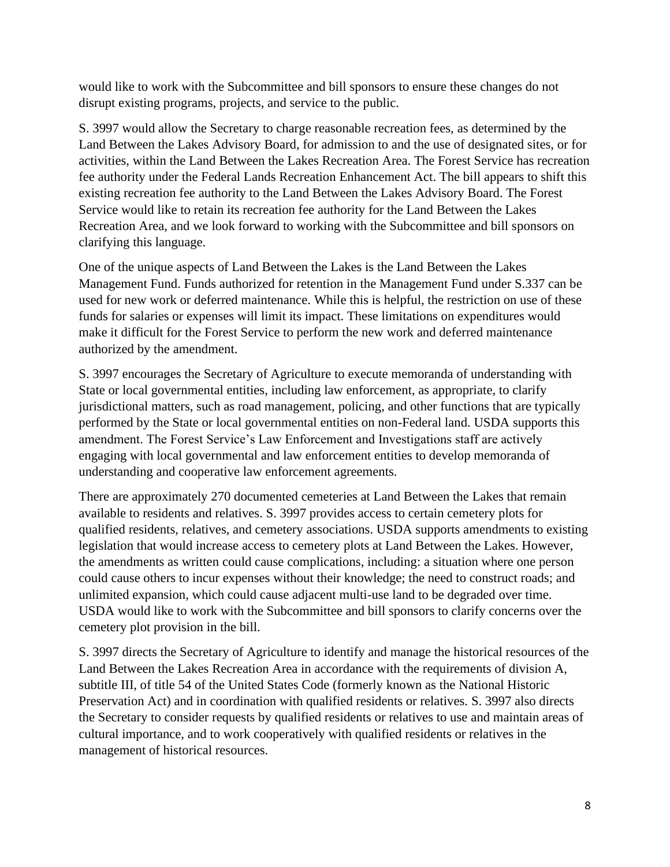would like to work with the Subcommittee and bill sponsors to ensure these changes do not disrupt existing programs, projects, and service to the public.

S. 3997 would allow the Secretary to charge reasonable recreation fees, as determined by the Land Between the Lakes Advisory Board, for admission to and the use of designated sites, or for activities, within the Land Between the Lakes Recreation Area. The Forest Service has recreation fee authority under the Federal Lands Recreation Enhancement Act. The bill appears to shift this existing recreation fee authority to the Land Between the Lakes Advisory Board. The Forest Service would like to retain its recreation fee authority for the Land Between the Lakes Recreation Area, and we look forward to working with the Subcommittee and bill sponsors on clarifying this language.

One of the unique aspects of Land Between the Lakes is the Land Between the Lakes Management Fund. Funds authorized for retention in the Management Fund under S.337 can be used for new work or deferred maintenance. While this is helpful, the restriction on use of these funds for salaries or expenses will limit its impact. These limitations on expenditures would make it difficult for the Forest Service to perform the new work and deferred maintenance authorized by the amendment.

S. 3997 encourages the Secretary of Agriculture to execute memoranda of understanding with State or local governmental entities, including law enforcement, as appropriate, to clarify jurisdictional matters, such as road management, policing, and other functions that are typically performed by the State or local governmental entities on non-Federal land. USDA supports this amendment. The Forest Service's Law Enforcement and Investigations staff are actively engaging with local governmental and law enforcement entities to develop memoranda of understanding and cooperative law enforcement agreements.

There are approximately 270 documented cemeteries at Land Between the Lakes that remain available to residents and relatives. S. 3997 provides access to certain cemetery plots for qualified residents, relatives, and cemetery associations. USDA supports amendments to existing legislation that would increase access to cemetery plots at Land Between the Lakes. However, the amendments as written could cause complications, including: a situation where one person could cause others to incur expenses without their knowledge; the need to construct roads; and unlimited expansion, which could cause adjacent multi-use land to be degraded over time. USDA would like to work with the Subcommittee and bill sponsors to clarify concerns over the cemetery plot provision in the bill.

S. 3997 directs the Secretary of Agriculture to identify and manage the historical resources of the Land Between the Lakes Recreation Area in accordance with the requirements of division A, subtitle III, of title 54 of the United States Code (formerly known as the National Historic Preservation Act) and in coordination with qualified residents or relatives. S. 3997 also directs the Secretary to consider requests by qualified residents or relatives to use and maintain areas of cultural importance, and to work cooperatively with qualified residents or relatives in the management of historical resources.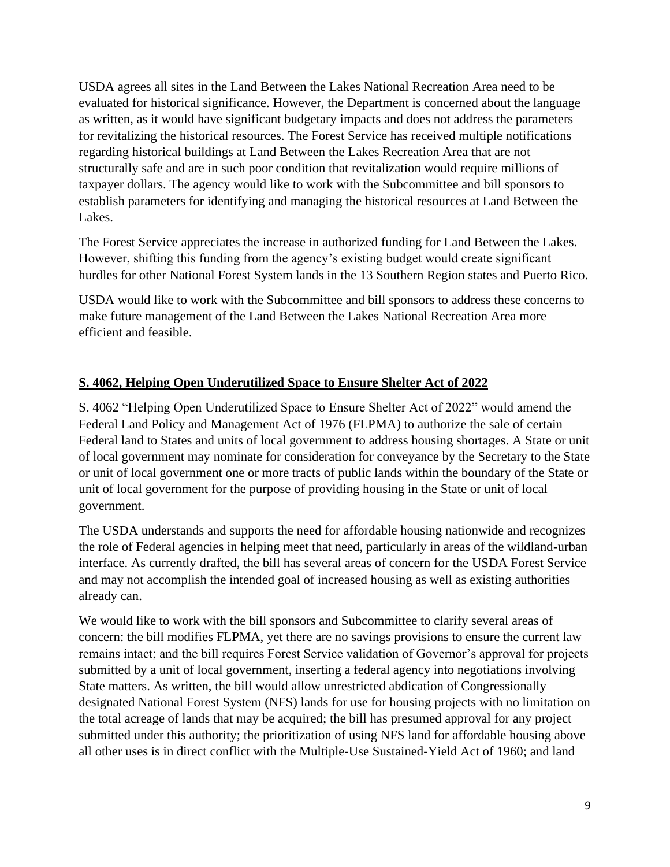USDA agrees all sites in the Land Between the Lakes National Recreation Area need to be evaluated for historical significance. However, the Department is concerned about the language as written, as it would have significant budgetary impacts and does not address the parameters for revitalizing the historical resources. The Forest Service has received multiple notifications regarding historical buildings at Land Between the Lakes Recreation Area that are not structurally safe and are in such poor condition that revitalization would require millions of taxpayer dollars. The agency would like to work with the Subcommittee and bill sponsors to establish parameters for identifying and managing the historical resources at Land Between the Lakes.

The Forest Service appreciates the increase in authorized funding for Land Between the Lakes. However, shifting this funding from the agency's existing budget would create significant hurdles for other National Forest System lands in the 13 Southern Region states and Puerto Rico.

USDA would like to work with the Subcommittee and bill sponsors to address these concerns to make future management of the Land Between the Lakes National Recreation Area more efficient and feasible.

# **S. 4062, Helping Open Underutilized Space to Ensure Shelter Act of 2022**

S. 4062 "Helping Open Underutilized Space to Ensure Shelter Act of 2022" would amend the Federal Land Policy and Management Act of 1976 (FLPMA) to authorize the sale of certain Federal land to States and units of local government to address housing shortages. A State or unit of local government may nominate for consideration for conveyance by the Secretary to the State or unit of local government one or more tracts of public lands within the boundary of the State or unit of local government for the purpose of providing housing in the State or unit of local government.

The USDA understands and supports the need for affordable housing nationwide and recognizes the role of Federal agencies in helping meet that need, particularly in areas of the wildland-urban interface. As currently drafted, the bill has several areas of concern for the USDA Forest Service and may not accomplish the intended goal of increased housing as well as existing authorities already can.

We would like to work with the bill sponsors and Subcommittee to clarify several areas of concern: the bill modifies FLPMA, yet there are no savings provisions to ensure the current law remains intact; and the bill requires Forest Service validation of Governor's approval for projects submitted by a unit of local government, inserting a federal agency into negotiations involving State matters. As written, the bill would allow unrestricted abdication of Congressionally designated National Forest System (NFS) lands for use for housing projects with no limitation on the total acreage of lands that may be acquired; the bill has presumed approval for any project submitted under this authority; the prioritization of using NFS land for affordable housing above all other uses is in direct conflict with the Multiple-Use Sustained-Yield Act of 1960; and land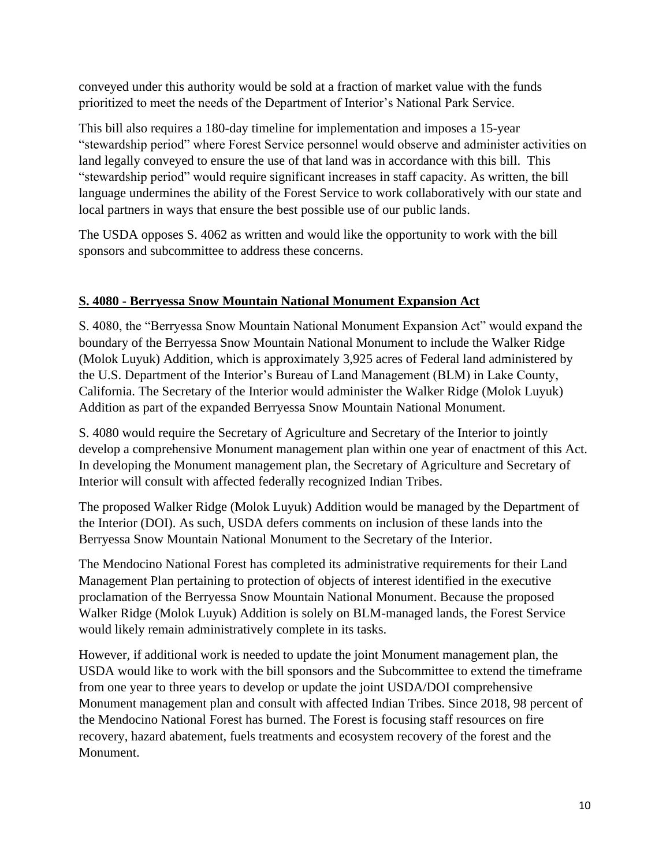conveyed under this authority would be sold at a fraction of market value with the funds prioritized to meet the needs of the Department of Interior's National Park Service.

This bill also requires a 180-day timeline for implementation and imposes a 15-year "stewardship period" where Forest Service personnel would observe and administer activities on land legally conveyed to ensure the use of that land was in accordance with this bill. This "stewardship period" would require significant increases in staff capacity. As written, the bill language undermines the ability of the Forest Service to work collaboratively with our state and local partners in ways that ensure the best possible use of our public lands.

The USDA opposes S. 4062 as written and would like the opportunity to work with the bill sponsors and subcommittee to address these concerns.

### **S. 4080 - Berryessa Snow Mountain National Monument Expansion Act**

S. 4080, the "Berryessa Snow Mountain National Monument Expansion Act" would expand the boundary of the Berryessa Snow Mountain National Monument to include the Walker Ridge (Molok Luyuk) Addition, which is approximately 3,925 acres of Federal land administered by the U.S. Department of the Interior's Bureau of Land Management (BLM) in Lake County, California. The Secretary of the Interior would administer the Walker Ridge (Molok Luyuk) Addition as part of the expanded Berryessa Snow Mountain National Monument.

S. 4080 would require the Secretary of Agriculture and Secretary of the Interior to jointly develop a comprehensive Monument management plan within one year of enactment of this Act. In developing the Monument management plan, the Secretary of Agriculture and Secretary of Interior will consult with affected federally recognized Indian Tribes.

The proposed Walker Ridge (Molok Luyuk) Addition would be managed by the Department of the Interior (DOI). As such, USDA defers comments on inclusion of these lands into the Berryessa Snow Mountain National Monument to the Secretary of the Interior.

The Mendocino National Forest has completed its administrative requirements for their Land Management Plan pertaining to protection of objects of interest identified in the executive proclamation of the Berryessa Snow Mountain National Monument. Because the proposed Walker Ridge (Molok Luyuk) Addition is solely on BLM-managed lands, the Forest Service would likely remain administratively complete in its tasks.

However, if additional work is needed to update the joint Monument management plan, the USDA would like to work with the bill sponsors and the Subcommittee to extend the timeframe from one year to three years to develop or update the joint USDA/DOI comprehensive Monument management plan and consult with affected Indian Tribes. Since 2018, 98 percent of the Mendocino National Forest has burned. The Forest is focusing staff resources on fire recovery, hazard abatement, fuels treatments and ecosystem recovery of the forest and the Monument.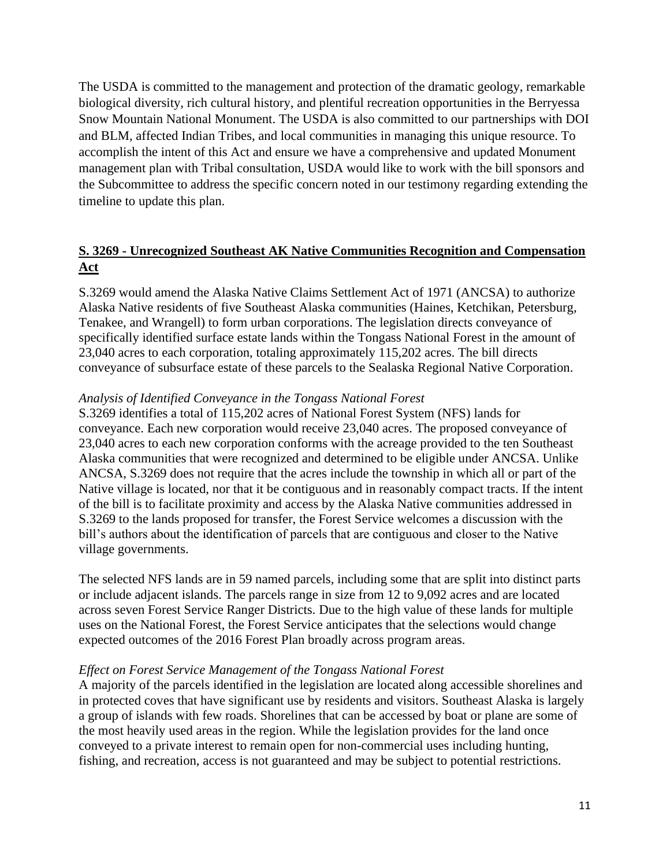The USDA is committed to the management and protection of the dramatic geology, remarkable biological diversity, rich cultural history, and plentiful recreation opportunities in the Berryessa Snow Mountain National Monument. The USDA is also committed to our partnerships with DOI and BLM, affected Indian Tribes, and local communities in managing this unique resource. To accomplish the intent of this Act and ensure we have a comprehensive and updated Monument management plan with Tribal consultation, USDA would like to work with the bill sponsors and the Subcommittee to address the specific concern noted in our testimony regarding extending the timeline to update this plan.

# **S. 3269 - Unrecognized Southeast AK Native Communities Recognition and Compensation Act**

S.3269 would amend the Alaska Native Claims Settlement Act of 1971 (ANCSA) to authorize Alaska Native residents of five Southeast Alaska communities (Haines, Ketchikan, Petersburg, Tenakee, and Wrangell) to form urban corporations. The legislation directs conveyance of specifically identified surface estate lands within the Tongass National Forest in the amount of 23,040 acres to each corporation, totaling approximately 115,202 acres. The bill directs conveyance of subsurface estate of these parcels to the Sealaska Regional Native Corporation.

#### *Analysis of Identified Conveyance in the Tongass National Forest*

S.3269 identifies a total of 115,202 acres of National Forest System (NFS) lands for conveyance. Each new corporation would receive 23,040 acres. The proposed conveyance of 23,040 acres to each new corporation conforms with the acreage provided to the ten Southeast Alaska communities that were recognized and determined to be eligible under ANCSA. Unlike ANCSA, S.3269 does not require that the acres include the township in which all or part of the Native village is located, nor that it be contiguous and in reasonably compact tracts. If the intent of the bill is to facilitate proximity and access by the Alaska Native communities addressed in S.3269 to the lands proposed for transfer, the Forest Service welcomes a discussion with the bill's authors about the identification of parcels that are contiguous and closer to the Native village governments.

The selected NFS lands are in 59 named parcels, including some that are split into distinct parts or include adjacent islands. The parcels range in size from 12 to 9,092 acres and are located across seven Forest Service Ranger Districts. Due to the high value of these lands for multiple uses on the National Forest, the Forest Service anticipates that the selections would change expected outcomes of the 2016 Forest Plan broadly across program areas.

#### *Effect on Forest Service Management of the Tongass National Forest*

A majority of the parcels identified in the legislation are located along accessible shorelines and in protected coves that have significant use by residents and visitors. Southeast Alaska is largely a group of islands with few roads. Shorelines that can be accessed by boat or plane are some of the most heavily used areas in the region. While the legislation provides for the land once conveyed to a private interest to remain open for non-commercial uses including hunting, fishing, and recreation, access is not guaranteed and may be subject to potential restrictions.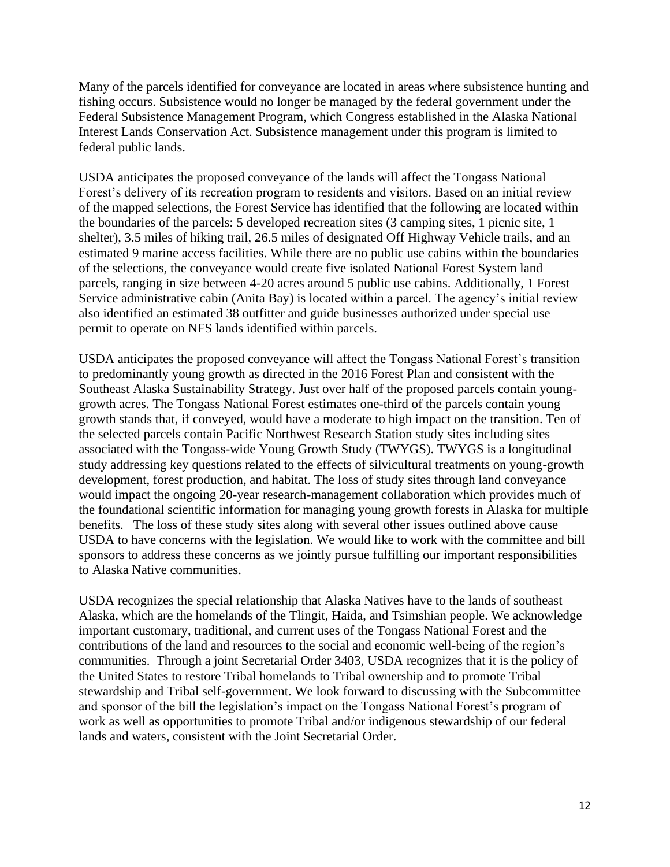Many of the parcels identified for conveyance are located in areas where subsistence hunting and fishing occurs. Subsistence would no longer be managed by the federal government under the Federal Subsistence Management Program, which Congress established in the Alaska National Interest Lands Conservation Act. Subsistence management under this program is limited to federal public lands.

USDA anticipates the proposed conveyance of the lands will affect the Tongass National Forest's delivery of its recreation program to residents and visitors. Based on an initial review of the mapped selections, the Forest Service has identified that the following are located within the boundaries of the parcels: 5 developed recreation sites (3 camping sites, 1 picnic site, 1 shelter), 3.5 miles of hiking trail, 26.5 miles of designated Off Highway Vehicle trails, and an estimated 9 marine access facilities. While there are no public use cabins within the boundaries of the selections, the conveyance would create five isolated National Forest System land parcels, ranging in size between 4-20 acres around 5 public use cabins. Additionally, 1 Forest Service administrative cabin (Anita Bay) is located within a parcel. The agency's initial review also identified an estimated 38 outfitter and guide businesses authorized under special use permit to operate on NFS lands identified within parcels.

USDA anticipates the proposed conveyance will affect the Tongass National Forest's transition to predominantly young growth as directed in the 2016 Forest Plan and consistent with the Southeast Alaska Sustainability Strategy. Just over half of the proposed parcels contain younggrowth acres. The Tongass National Forest estimates one-third of the parcels contain young growth stands that, if conveyed, would have a moderate to high impact on the transition. Ten of the selected parcels contain Pacific Northwest Research Station study sites including sites associated with the Tongass-wide Young Growth Study (TWYGS). TWYGS is a longitudinal study addressing key questions related to the effects of silvicultural treatments on young-growth development, forest production, and habitat. The loss of study sites through land conveyance would impact the ongoing 20-year research-management collaboration which provides much of the foundational scientific information for managing young growth forests in Alaska for multiple benefits. The loss of these study sites along with several other issues outlined above cause USDA to have concerns with the legislation. We would like to work with the committee and bill sponsors to address these concerns as we jointly pursue fulfilling our important responsibilities to Alaska Native communities.

USDA recognizes the special relationship that Alaska Natives have to the lands of southeast Alaska, which are the homelands of the Tlingit, Haida, and Tsimshian people. We acknowledge important customary, traditional, and current uses of the Tongass National Forest and the contributions of the land and resources to the social and economic well-being of the region's communities. Through a joint Secretarial Order 3403, USDA recognizes that it is the policy of the United States to restore Tribal homelands to Tribal ownership and to promote Tribal stewardship and Tribal self-government. We look forward to discussing with the Subcommittee and sponsor of the bill the legislation's impact on the Tongass National Forest's program of work as well as opportunities to promote Tribal and/or indigenous stewardship of our federal lands and waters, consistent with the Joint Secretarial Order.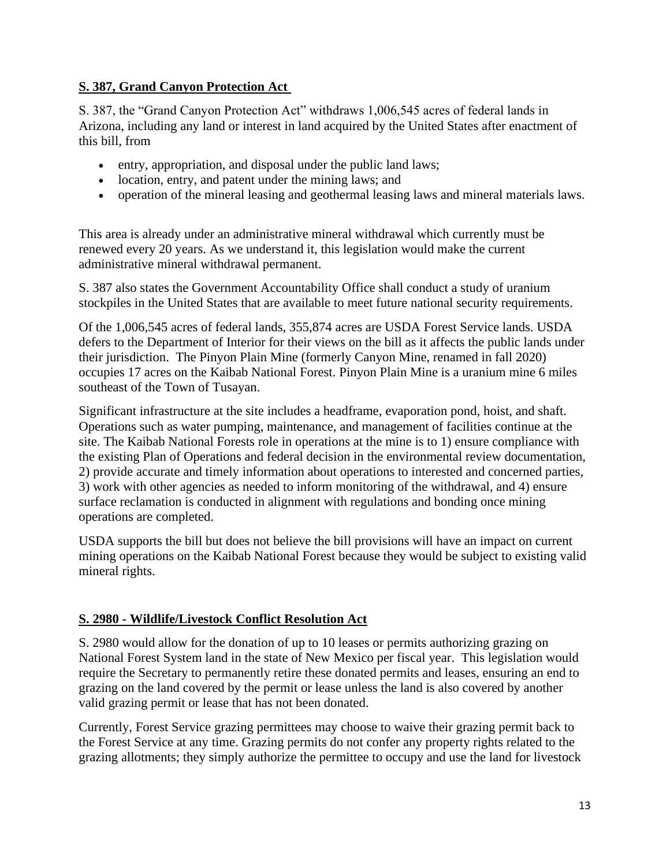# **S. 387, Grand Canyon Protection Act**

S. 387, the "Grand Canyon Protection Act" withdraws 1,006,545 acres of federal lands in Arizona, including any land or interest in land acquired by the United States after enactment of this bill, from

- entry, appropriation, and disposal under the public land laws;
- location, entry, and patent under the mining laws; and
- operation of the mineral leasing and geothermal leasing laws and mineral materials laws.

This area is already under an administrative mineral withdrawal which currently must be renewed every 20 years. As we understand it, this legislation would make the current administrative mineral withdrawal permanent.

S. 387 also states the Government Accountability Office shall conduct a study of uranium stockpiles in the United States that are available to meet future national security requirements.

Of the 1,006,545 acres of federal lands, 355,874 acres are USDA Forest Service lands. USDA defers to the Department of Interior for their views on the bill as it affects the public lands under their jurisdiction. The Pinyon Plain Mine (formerly Canyon Mine, renamed in fall 2020) occupies 17 acres on the Kaibab National Forest. Pinyon Plain Mine is a uranium mine 6 miles southeast of the Town of Tusayan.

Significant infrastructure at the site includes a headframe, evaporation pond, hoist, and shaft. Operations such as water pumping, maintenance, and management of facilities continue at the site. The Kaibab National Forests role in operations at the mine is to 1) ensure compliance with the existing Plan of Operations and federal decision in the environmental review documentation, 2) provide accurate and timely information about operations to interested and concerned parties, 3) work with other agencies as needed to inform monitoring of the withdrawal, and 4) ensure surface reclamation is conducted in alignment with regulations and bonding once mining operations are completed.

USDA supports the bill but does not believe the bill provisions will have an impact on current mining operations on the Kaibab National Forest because they would be subject to existing valid mineral rights.

#### **S. 2980 - Wildlife/Livestock Conflict Resolution Act**

S. 2980 would allow for the donation of up to 10 leases or permits authorizing grazing on National Forest System land in the state of New Mexico per fiscal year. This legislation would require the Secretary to permanently retire these donated permits and leases, ensuring an end to grazing on the land covered by the permit or lease unless the land is also covered by another valid grazing permit or lease that has not been donated.

Currently, Forest Service grazing permittees may choose to waive their grazing permit back to the Forest Service at any time. Grazing permits do not confer any property rights related to the grazing allotments; they simply authorize the permittee to occupy and use the land for livestock